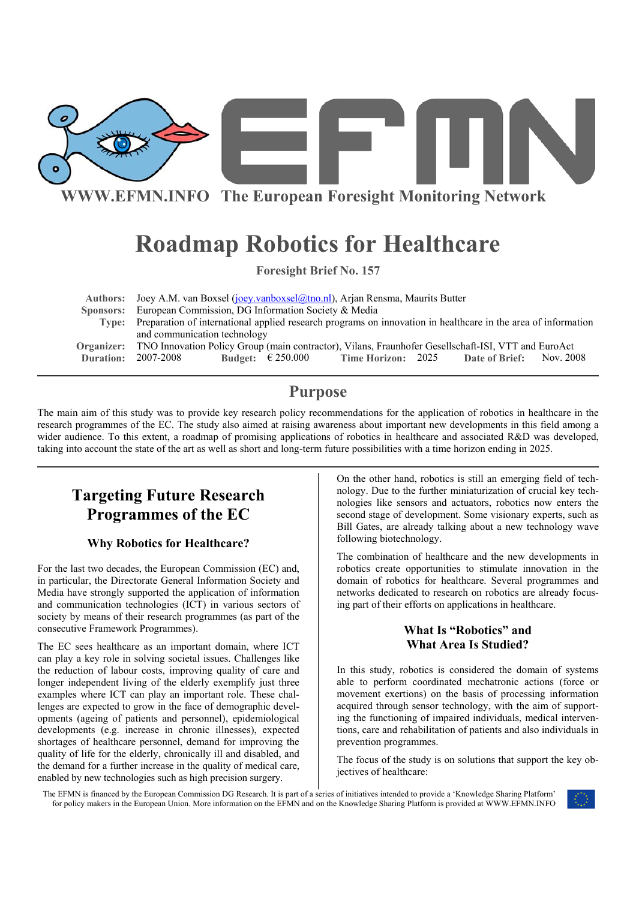

**WWW.EFMN.INFO The European Foresight Monitoring Network**

# **Roadmap Robotics for Healthcare**

**Foresight Brief No. 157** 

| Authors: Joey A.M. van Boxsel (joey.vanboxsel@tno.nl), Arjan Rensma, Maurits Butter                                 |
|---------------------------------------------------------------------------------------------------------------------|
| Sponsors: European Commission, DG Information Society & Media                                                       |
| Type: Preparation of international applied research programs on innovation in healthcare in the area of information |
| and communication technology                                                                                        |
| Organizer: TNO Innovation Policy Group (main contractor), Vilans, Fraunhofer Gesellschaft-ISI, VTT and EuroAct      |
| <b>Time Horizon:</b> 2025 Date of Brief: Nov. 2008<br><b>Duration: 2007-2008</b><br>Budget: $\epsilon$ 250.000      |

## **Purpose**

The main aim of this study was to provide key research policy recommendations for the application of robotics in healthcare in the research programmes of the EC. The study also aimed at raising awareness about important new developments in this field among a wider audience. To this extent, a roadmap of promising applications of robotics in healthcare and associated R&D was developed, taking into account the state of the art as well as short and long-term future possibilities with a time horizon ending in 2025.

# **Targeting Future Research Programmes of the EC**

### **Why Robotics for Healthcare?**

For the last two decades, the European Commission (EC) and, in particular, the Directorate General Information Society and Media have strongly supported the application of information and communication technologies (ICT) in various sectors of society by means of their research programmes (as part of the consecutive Framework Programmes).

The EC sees healthcare as an important domain, where ICT can play a key role in solving societal issues. Challenges like the reduction of labour costs, improving quality of care and longer independent living of the elderly exemplify just three examples where ICT can play an important role. These challenges are expected to grow in the face of demographic developments (ageing of patients and personnel), epidemiological developments (e.g. increase in chronic illnesses), expected shortages of healthcare personnel, demand for improving the quality of life for the elderly, chronically ill and disabled, and the demand for a further increase in the quality of medical care, enabled by new technologies such as high precision surgery.

On the other hand, robotics is still an emerging field of technology. Due to the further miniaturization of crucial key technologies like sensors and actuators, robotics now enters the second stage of development. Some visionary experts, such as Bill Gates, are already talking about a new technology wave following biotechnology.

The combination of healthcare and the new developments in robotics create opportunities to stimulate innovation in the domain of robotics for healthcare. Several programmes and networks dedicated to research on robotics are already focusing part of their efforts on applications in healthcare.

### **What Is "Robotics" and What Area Is Studied?**

In this study, robotics is considered the domain of systems able to perform coordinated mechatronic actions (force or movement exertions) on the basis of processing information acquired through sensor technology, with the aim of supporting the functioning of impaired individuals, medical interventions, care and rehabilitation of patients and also individuals in prevention programmes.

The focus of the study is on solutions that support the key objectives of healthcare:

The EFMN is financed by the European Commission DG Research. It is part of a series of initiatives intended to provide a 'Knowledge Sharing Platform' for policy makers in the European Union. More information on the EFMN and on the Knowledge Sharing Platform is provided at WWW.EFMN.INFO

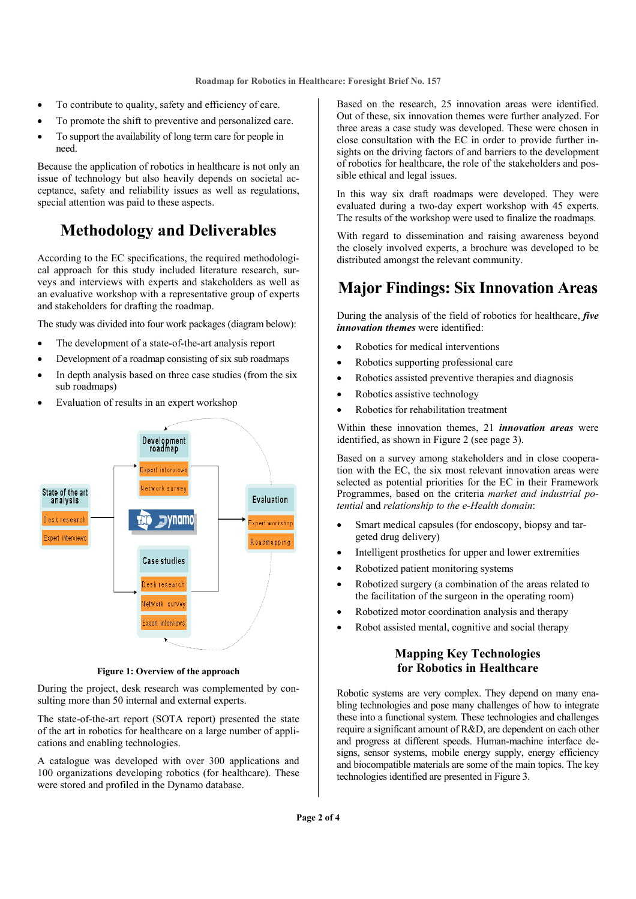- To contribute to quality, safety and efficiency of care.
- To promote the shift to preventive and personalized care.
- To support the availability of long term care for people in need.

Because the application of robotics in healthcare is not only an issue of technology but also heavily depends on societal acceptance, safety and reliability issues as well as regulations, special attention was paid to these aspects.

# **Methodology and Deliverables**

According to the EC specifications, the required methodological approach for this study included literature research, surveys and interviews with experts and stakeholders as well as an evaluative workshop with a representative group of experts and stakeholders for drafting the roadmap.

The study was divided into four work packages (diagram below):

- The development of a state-of-the-art analysis report
- Development of a roadmap consisting of six sub roadmaps
- In depth analysis based on three case studies (from the six sub roadmaps)
- Evaluation of results in an expert workshop



**Figure 1: Overview of the approach** 

During the project, desk research was complemented by consulting more than 50 internal and external experts.

The state-of-the-art report (SOTA report) presented the state of the art in robotics for healthcare on a large number of applications and enabling technologies.

A catalogue was developed with over 300 applications and 100 organizations developing robotics (for healthcare). These were stored and profiled in the Dynamo database.

Based on the research, 25 innovation areas were identified. Out of these, six innovation themes were further analyzed. For three areas a case study was developed. These were chosen in close consultation with the EC in order to provide further insights on the driving factors of and barriers to the development of robotics for healthcare, the role of the stakeholders and possible ethical and legal issues.

In this way six draft roadmaps were developed. They were evaluated during a two-day expert workshop with 45 experts. The results of the workshop were used to finalize the roadmaps.

With regard to dissemination and raising awareness beyond the closely involved experts, a brochure was developed to be distributed amongst the relevant community.

# **Major Findings: Six Innovation Areas**

During the analysis of the field of robotics for healthcare, *five innovation themes* were identified:

- Robotics for medical interventions
- Robotics supporting professional care
- Robotics assisted preventive therapies and diagnosis
- Robotics assistive technology
- Robotics for rehabilitation treatment

Within these innovation themes, 21 *innovation areas* were identified, as shown in Figure 2 (see page 3).

Based on a survey among stakeholders and in close cooperation with the EC, the six most relevant innovation areas were selected as potential priorities for the EC in their Framework Programmes, based on the criteria *market and industrial potential* and *relationship to the e-Health domain*:

- Smart medical capsules (for endoscopy, biopsy and targeted drug delivery)
- Intelligent prosthetics for upper and lower extremities
- Robotized patient monitoring systems
- Robotized surgery (a combination of the areas related to the facilitation of the surgeon in the operating room)
- Robotized motor coordination analysis and therapy
- Robot assisted mental, cognitive and social therapy

### **Mapping Key Technologies for Robotics in Healthcare**

Robotic systems are very complex. They depend on many enabling technologies and pose many challenges of how to integrate these into a functional system. These technologies and challenges require a significant amount of R&D, are dependent on each other and progress at different speeds. Human-machine interface designs, sensor systems, mobile energy supply, energy efficiency and biocompatible materials are some of the main topics. The key technologies identified are presented in Figure 3.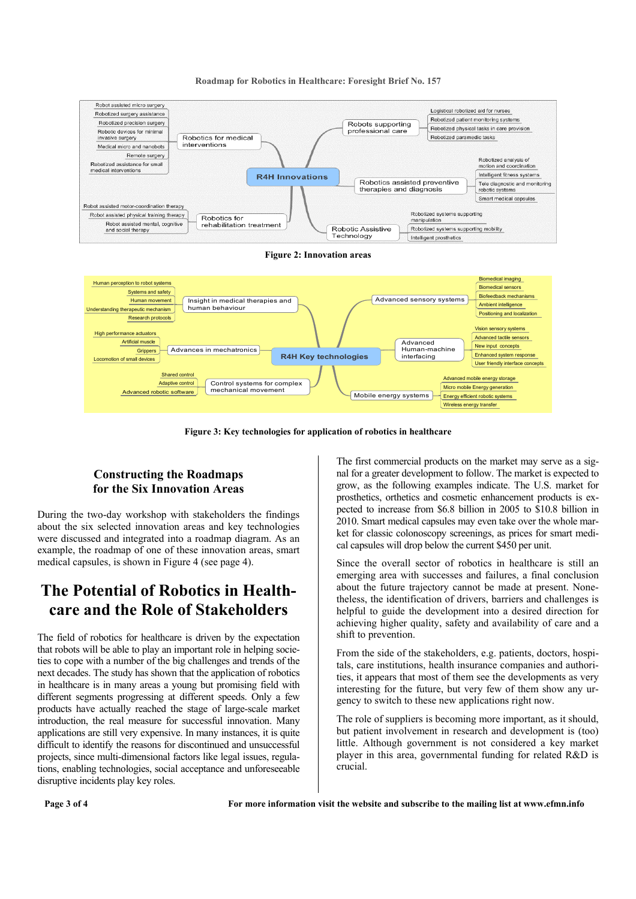

#### **Roadmap for Robotics in Healthcare: Foresight Brief No. 157**

**Figure 3: Key technologies for application of robotics in healthcare** 

Control systems for complex mechanical movement

Mobile energy systems

### **Constructing the Roadmaps for the Six Innovation Areas**

Adaptive control Advanced robotic software

During the two-day workshop with stakeholders the findings about the six selected innovation areas and key technologies were discussed and integrated into a roadmap diagram. As an example, the roadmap of one of these innovation areas, smart medical capsules, is shown in Figure 4 (see page 4).

# **The Potential of Robotics in Healthcare and the Role of Stakeholders**

The field of robotics for healthcare is driven by the expectation that robots will be able to play an important role in helping societies to cope with a number of the big challenges and trends of the next decades. The study has shown that the application of robotics in healthcare is in many areas a young but promising field with different segments progressing at different speeds. Only a few products have actually reached the stage of large-scale market introduction, the real measure for successful innovation. Many applications are still very expensive. In many instances, it is quite difficult to identify the reasons for discontinued and unsuccessful projects, since multi-dimensional factors like legal issues, regulations, enabling technologies, social acceptance and unforeseeable disruptive incidents play key roles.

The first commercial products on the market may serve as a signal for a greater development to follow. The market is expected to grow, as the following examples indicate. The U.S. market for prosthetics, orthetics and cosmetic enhancement products is expected to increase from \$6.8 billion in 2005 to \$10.8 billion in 2010. Smart medical capsules may even take over the whole market for classic colonoscopy screenings, as prices for smart medical capsules will drop below the current \$450 per unit.

Micro mobile Energy generation Energy efficient robotic systems Wireless energy transfer

Since the overall sector of robotics in healthcare is still an emerging area with successes and failures, a final conclusion about the future trajectory cannot be made at present. Nonetheless, the identification of drivers, barriers and challenges is helpful to guide the development into a desired direction for achieving higher quality, safety and availability of care and a shift to prevention.

From the side of the stakeholders, e.g. patients, doctors, hospitals, care institutions, health insurance companies and authorities, it appears that most of them see the developments as very interesting for the future, but very few of them show any urgency to switch to these new applications right now.

The role of suppliers is becoming more important, as it should, but patient involvement in research and development is (too) little. Although government is not considered a key market player in this area, governmental funding for related R&D is crucial.